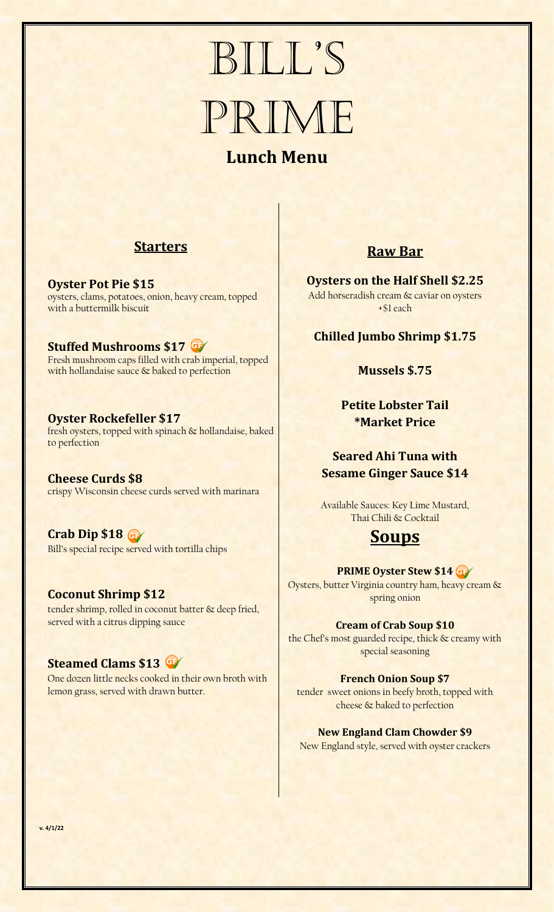# Bill's PRIME **Lunch Menu**

## **Starters**

**Oyster Pot Pie \$15** oysters, clams, potatoes, onion, heavy cream, topped with a buttermilk biscuit

**Stuffed Mushrooms \$17** Fresh mushroom caps filled with crab imperial, topped with hollandaise sauce & baked to perfection

#### **Oyster Rockefeller \$17** fresh oysters, topped with spinach & hollandaise, baked to perfection

**Cheese Curds \$8** crispy Wisconsin cheese curds served with marinara

**Crab Dip \$18** Bill's special recipe served with tortilla chips

#### **Coconut Shrimp \$12** tender shrimp, rolled in coconut batter & deep fried, served with a citrus dipping sauce

## **Steamed Clams \$13**

One dozen little necks cooked in their own broth with lemon grass, served with drawn butter.

## **Raw Bar**

**Oysters on the Half Shell \$2.25** Add horseradish cream & caviar on oysters +\$1 each

## **Chilled Jumbo Shrimp \$1.75**

#### **Mussels \$.75**

**Petite Lobster Tail \*Market Price**

## **Seared Ahi Tuna with Sesame Ginger Sauce \$14**

Available Sauces: Key Lime Mustard, Thai Chili & Cocktail

## **Soups**

#### **PRIME Oyster Stew \$14**

Oysters, butter Virginia country ham, heavy cream & spring onion

#### **Cream of Crab Soup \$10**

the Chef's most guarded recipe, thick & creamy with special seasoning

#### **French Onion Soup \$7**

tender sweet onions in beefy broth, topped with cheese & baked to perfection

## **New England Clam Chowder \$9**

New England style, served with oyster crackers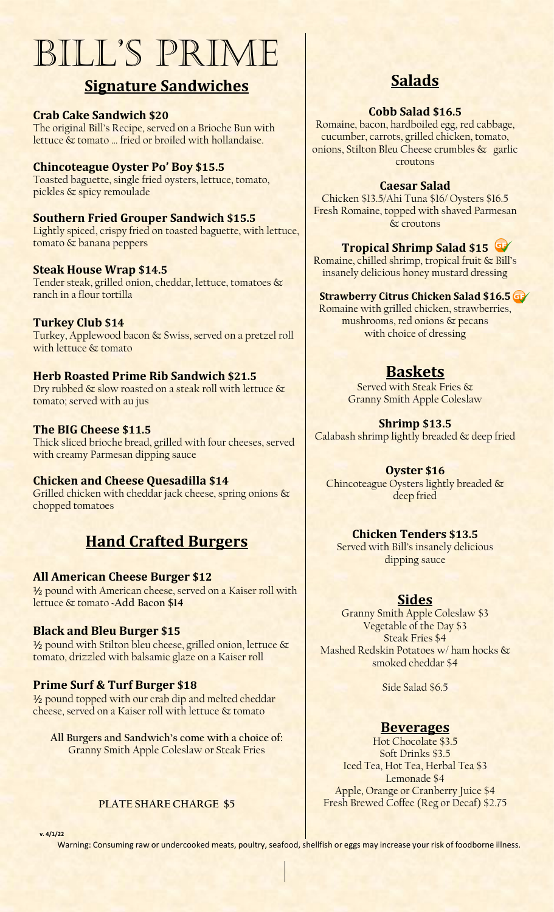# Bill's Prime

## **Signature Sandwiches**

### **Crab Cake Sandwich \$20**

The original Bill's Recipe, served on a Brioche Bun with lettuce & tomato … fried or broiled with hollandaise.

### **Chincoteague Oyster Po' Boy \$15.5**

Toasted baguette, single fried oysters, lettuce, tomato, pickles & spicy remoulade

#### **Southern Fried Grouper Sandwich \$15.5** Lightly spiced, crispy fried on toasted baguette, with lettuce, tomato & banana peppers

#### **Steak House Wrap \$14.5**

Tender steak, grilled onion, cheddar, lettuce, tomatoes & ranch in a flour tortilla

#### **Turkey Club \$14**

Turkey, Applewood bacon & Swiss, served on a pretzel roll with lettuce & tomato

#### **Herb Roasted Prime Rib Sandwich \$21.5**

Dry rubbed & slow roasted on a steak roll with lettuce & tomato; served with au jus

#### **The BIG Cheese \$11.5**

Thick sliced brioche bread, grilled with four cheeses, served with creamy Parmesan dipping sauce

#### **Chicken and Cheese Quesadilla \$14**

Grilled chicken with cheddar jack cheese, spring onions & chopped tomatoes

## **Hand Crafted Burgers**

#### **All American Cheese Burger \$12**

½ pound with American cheese, served on a Kaiser roll with lettuce & tomato ~**Add Bacon \$14**

#### **Black and Bleu Burger \$15**

1/2 pound with Stilton bleu cheese, grilled onion, lettuce & tomato, drizzled with balsamic glaze on a Kaiser roll

## **Prime Surf & Turf Burger \$18**

1/2 pound topped with our crab dip and melted cheddar cheese, served on a Kaiser roll with lettuce & tomato

**All Burgers and Sandwich's come with a choice of:** Granny Smith Apple Coleslaw or Steak Fries

#### **PLATE SHARE CHARGE \$5**

**Salads**

#### **Cobb Salad \$16.5**

Romaine, bacon, hardboiled egg, red cabbage, cucumber, carrots, grilled chicken, tomato, onions, Stilton Bleu Cheese crumbles & garlic croutons

#### **Caesar Salad**

Chicken \$13.5/Ahi Tuna \$16/ Oysters \$16.5 Fresh Romaine, topped with shaved Parmesan & croutons

#### **Tropical Shrimp Salad \$15**

Romaine, chilled shrimp, tropical fruit & Bill's insanely delicious honey mustard dressing

#### **Strawberry Citrus Chicken Salad \$16.5**

Romaine with grilled chicken, strawberries, mushrooms, red onions & pecans with choice of dressing

## **Baskets**

Served with Steak Fries & Granny Smith Apple Coleslaw

**Shrimp \$13.5** Calabash shrimp lightly breaded & deep fried

**Oyster \$16** Chincoteague Oysters lightly breaded & deep fried

## **Chicken Tenders \$13.5**

Served with Bill's insanely delicious dipping sauce

## **Sides**

Granny Smith Apple Coleslaw \$3 Vegetable of the Day \$3 Steak Fries \$4 Mashed Redskin Potatoes w/ ham hocks & smoked cheddar \$4

Side Salad \$6.5

#### **Beverages**

Hot Chocolate \$3.5 Soft Drinks \$3.5 Iced Tea, Hot Tea, Herbal Tea \$3 Lemonade \$4 Apple, Orange or Cranberry Juice \$4 Fresh Brewed Coffee (Reg or Decaf) \$2.75

**v. 4/1/22**

Warning: Consuming raw or undercooked meats, poultry, seafood, shellfish or eggs may increase your risk of foodborne illness.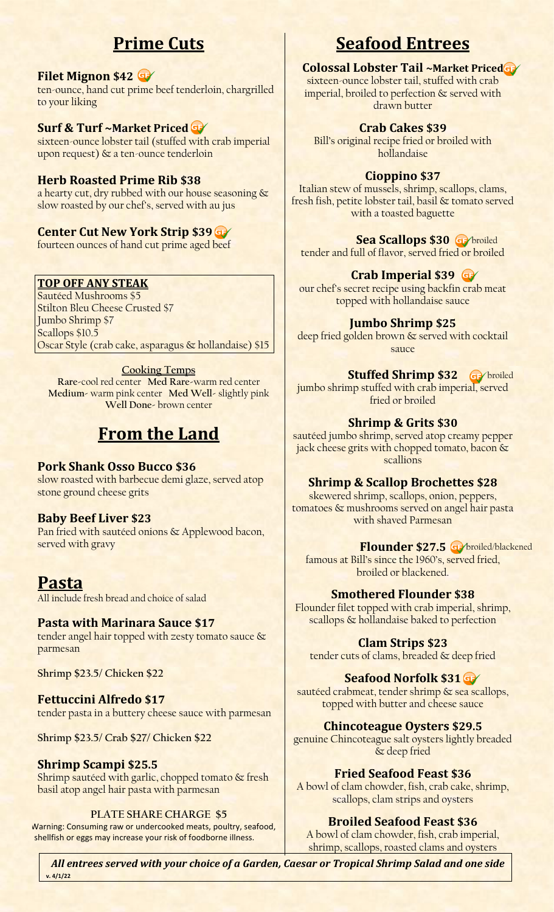# **Prime Cuts**

## **Filet Mignon \$42**

ten-ounce, hand cut prime beef tenderloin, chargrilled to your liking

## **Surf & Turf ~Market Priced**

sixteen-ounce lobster tail (stuffed with crab imperial upon request) & a ten-ounce tenderloin

## **Herb Roasted Prime Rib \$38**

a hearty cut, dry rubbed with our house seasoning & slow roasted by our chef's, served with au jus

## **Center Cut New York Strip \$39**

fourteen ounces of hand cut prime aged beef

## **TOP OFF ANY STEAK**

Sautéed Mushrooms \$5 Stilton Bleu Cheese Crusted \$7 Jumbo Shrimp \$7 Scallops \$10.5 Oscar Style (crab cake, asparagus & hollandaise) \$15

## **Cooking Temps**

**Rare-**cool red center **Med Rare-**warm red center **Medium-** warm pink center **Med Well-** slightly pink **Well Done-** brown center

# **From the Land**

## **Pork Shank Osso Bucco \$36**

slow roasted with barbecue demi glaze, served atop stone ground cheese grits

## **Baby Beef Liver \$23**

Pan fried with sautéed onions & Applewood bacon, served with gravy

## **Pasta**

All include fresh bread and choice of salad

## **Pasta with Marinara Sauce \$17**

tender angel hair topped with zesty tomato sauce & parmesan

**Shrimp \$23.5/ Chicken \$22**

## **Fettuccini Alfredo \$17** tender pasta in a buttery cheese sauce with parmesan

**Shrimp \$23.5/ Crab \$27/ Chicken \$22**

#### **Shrimp Scampi \$25.5** Shrimp sautéed with garlic, chopped tomato & fresh basil atop angel hair pasta with parmesan

## **PLATE SHARE CHARGE \$5**

 Warning: Consuming raw or undercooked meats, poultry, seafood, shellfish or eggs may increase your risk of foodborne illness.

# **Seafood Entrees**

## **Colossal Lobster Tail ~Market Priced**

sixteen-ounce lobster tail, stuffed with crab imperial, broiled to perfection & served with drawn butter

## **Crab Cakes \$39**

Bill's original recipe fried or broiled with hollandaise

## **Cioppino \$37**

Italian stew of mussels, shrimp, scallops, clams, fresh fish, petite lobster tail, basil & tomato served with a toasted baguette

## **Sea Scallops \$30 Ge**

tender and full of flavor, served fried or broiled

## **Crab Imperial \$39**

our chef's secret recipe using backfin crab meat topped with hollandaise sauce

## **Jumbo Shrimp \$25**

deep fried golden brown & served with cocktail sauce

## **Stuffed Shrimp \$32** Ge broiled

jumbo shrimp stuffed with crab imperial, served fried or broiled

## **Shrimp & Grits \$30**

sautéed jumbo shrimp, served atop creamy pepper jack cheese grits with chopped tomato, bacon & scallions

## **Shrimp & Scallop Brochettes \$28**

skewered shrimp, scallops, onion, peppers, tomatoes & mushrooms served on angel hair pasta with shaved Parmesan

## **Flounder \$27.5 o** broiled/blackened

famous at Bill's since the 1960's, served fried, broiled or blackened.

## **Smothered Flounder \$38**

Flounder filet topped with crab imperial, shrimp, scallops & hollandaise baked to perfection

## **Clam Strips \$23**

tender cuts of clams, breaded & deep fried

## **Seafood Norfolk \$31**

sautéed crabmeat, tender shrimp & sea scallops, topped with butter and cheese sauce

## **Chincoteague Oysters \$29.5**

genuine Chincoteague salt oysters lightly breaded & deep fried

## **Fried Seafood Feast \$36**

A bowl of clam chowder, fish, crab cake, shrimp, scallops, clam strips and oysters

## **Broiled Seafood Feast \$36**

A bowl of clam chowder, fish, crab imperial, shrimp, scallops, roasted clams and oysters

*All entrees served with your choice of a Garden, Caesar or Tropical Shrimp Salad and one side* **v. 4/1/22**